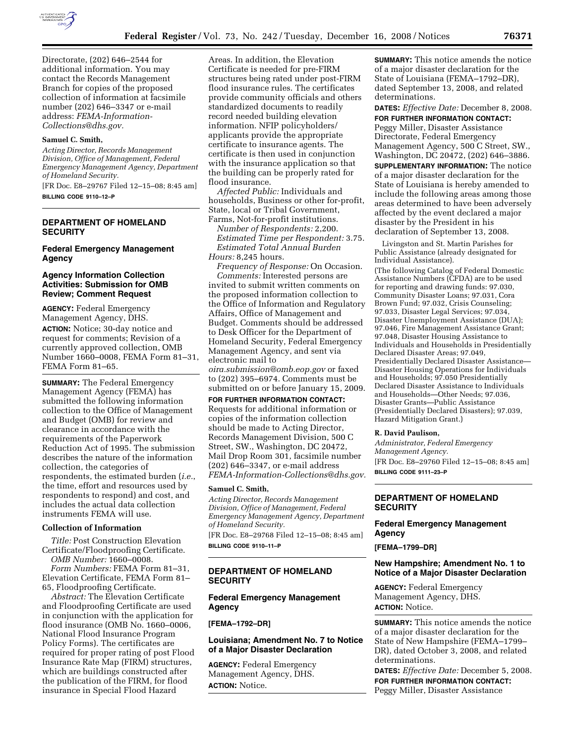

Directorate, (202) 646–2544 for additional information. You may contact the Records Management Branch for copies of the proposed collection of information at facsimile number (202) 646–3347 or e-mail address: *FEMA-Information-Collections@dhs.gov.* 

### **Samuel C. Smith,**

*Acting Director, Records Management Division, Office of Management, Federal Emergency Management Agency, Department of Homeland Security.* 

[FR Doc. E8–29767 Filed 12–15–08; 8:45 am] **BILLING CODE 9110–12–P** 

# **DEPARTMENT OF HOMELAND SECURITY**

## **Federal Emergency Management Agency**

# **Agency Information Collection Activities: Submission for OMB Review; Comment Request**

**AGENCY:** Federal Emergency Management Agency, DHS. **ACTION:** Notice; 30-day notice and request for comments; Revision of a currently approved collection, OMB Number 1660–0008, FEMA Form 81–31, FEMA Form 81–65.

**SUMMARY:** The Federal Emergency Management Agency (FEMA) has submitted the following information collection to the Office of Management and Budget (OMB) for review and clearance in accordance with the requirements of the Paperwork Reduction Act of 1995. The submission describes the nature of the information collection, the categories of respondents, the estimated burden (*i.e.*, the time, effort and resources used by respondents to respond) and cost, and includes the actual data collection instruments FEMA will use.

## **Collection of Information**

*Title:* Post Construction Elevation Certificate/Floodproofing Certificate.

*OMB Number:* 1660–0008. *Form Numbers:* FEMA Form 81–31, Elevation Certificate, FEMA Form 81– 65, Floodproofing Certificate.

*Abstract:* The Elevation Certificate and Floodproofing Certificate are used in conjunction with the application for flood insurance (OMB No. 1660–0006, National Flood Insurance Program Policy Forms). The certificates are required for proper rating of post Flood Insurance Rate Map (FIRM) structures, which are buildings constructed after the publication of the FIRM, for flood insurance in Special Flood Hazard

Areas. In addition, the Elevation Certificate is needed for pre-FIRM structures being rated under post-FIRM flood insurance rules. The certificates provide community officials and others standardized documents to readily record needed building elevation information. NFIP policyholders/ applicants provide the appropriate certificate to insurance agents. The certificate is then used in conjunction with the insurance application so that the building can be properly rated for flood insurance.

*Affected Public:* Individuals and households, Business or other for-profit, State, local or Tribal Government, Farms, Not-for-profit institutions.

*Number of Respondents:* 2,200. *Estimated Time per Respondent:* 3.75. *Estimated Total Annual Burden Hours:* 8,245 hours.

*Frequency of Response:* On Occasion. *Comments:* Interested persons are invited to submit written comments on the proposed information collection to the Office of Information and Regulatory Affairs, Office of Management and Budget. Comments should be addressed to Desk Officer for the Department of Homeland Security, Federal Emergency Management Agency, and sent via electronic mail to

*oira.submission@omb.eop.gov* or faxed to (202) 395–6974. Comments must be submitted on or before January 15, 2009.

**FOR FURTHER INFORMATION CONTACT:**  Requests for additional information or copies of the information collection should be made to Acting Director, Records Management Division, 500 C Street, SW., Washington, DC 20472, Mail Drop Room 301, facsimile number (202) 646–3347, or e-mail address *FEMA-Information-Collections@dhs.gov.* 

#### **Samuel C. Smith,**

*Acting Director, Records Management Division, Office of Management, Federal Emergency Management Agency, Department of Homeland Security.*  [FR Doc. E8–29768 Filed 12–15–08; 8:45 am] **BILLING CODE 9110–11–P** 

# **DEPARTMENT OF HOMELAND SECURITY**

# **Federal Emergency Management Agency**

**[FEMA–1792–DR]** 

# **Louisiana; Amendment No. 7 to Notice of a Major Disaster Declaration**

**AGENCY:** Federal Emergency Management Agency, DHS. **ACTION:** Notice.

**SUMMARY:** This notice amends the notice of a major disaster declaration for the State of Louisiana (FEMA–1792–DR), dated September 13, 2008, and related determinations.

**DATES:** *Effective Date:* December 8, 2008.

**FOR FURTHER INFORMATION CONTACT:**  Peggy Miller, Disaster Assistance Directorate, Federal Emergency Management Agency, 500 C Street, SW., Washington, DC 20472, (202) 646–3886.

**SUPPLEMENTARY INFORMATION:** The notice of a major disaster declaration for the State of Louisiana is hereby amended to include the following areas among those areas determined to have been adversely affected by the event declared a major disaster by the President in his declaration of September 13, 2008.

Livingston and St. Martin Parishes for Public Assistance (already designated for Individual Assistance).

(The following Catalog of Federal Domestic Assistance Numbers (CFDA) are to be used for reporting and drawing funds: 97.030, Community Disaster Loans; 97.031, Cora Brown Fund; 97.032, Crisis Counseling; 97.033, Disaster Legal Services; 97.034, Disaster Unemployment Assistance (DUA); 97.046, Fire Management Assistance Grant; 97.048, Disaster Housing Assistance to Individuals and Households in Presidentially Declared Disaster Areas; 97.049, Presidentially Declared Disaster Assistance— Disaster Housing Operations for Individuals and Households; 97.050 Presidentially Declared Disaster Assistance to Individuals and Households—Other Needs; 97.036, Disaster Grants—Public Assistance (Presidentially Declared Disasters); 97.039, Hazard Mitigation Grant.)

## **R. David Paulison,**

*Administrator, Federal Emergency Management Agency.* 

[FR Doc. E8–29760 Filed 12–15–08; 8:45 am] **BILLING CODE 9111–23–P** 

# **DEPARTMENT OF HOMELAND SECURITY**

# **Federal Emergency Management Agency**

**[FEMA–1799–DR]** 

# **New Hampshire; Amendment No. 1 to Notice of a Major Disaster Declaration**

**AGENCY:** Federal Emergency Management Agency, DHS. **ACTION:** Notice.

**SUMMARY:** This notice amends the notice of a major disaster declaration for the State of New Hampshire (FEMA–1799– DR), dated October 3, 2008, and related determinations.

**DATES:** *Effective Date:* December 5, 2008. **FOR FURTHER INFORMATION CONTACT:**  Peggy Miller, Disaster Assistance